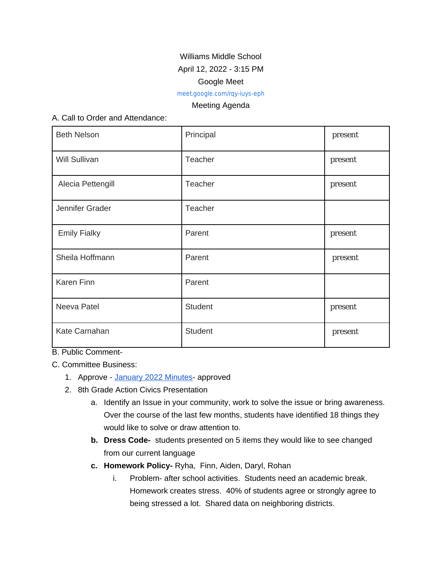# Williams Middle School

## April 12, 2022 - 3:15 PM

### Google Meet

[meet.google.com/rqy-iuys-eph](https://meet.google.com/rqy-iuys-eph?hs=122&authuser=0)

### Meeting Agenda

### A. Call to Order and Attendance:

| <b>Beth Nelson</b>  | Principal      | present |
|---------------------|----------------|---------|
| Will Sullivan       | Teacher        | present |
| Alecia Pettengill   | Teacher        | present |
| Jennifer Grader     | Teacher        |         |
| <b>Emily Fialky</b> | Parent         | present |
| Sheila Hoffmann     | Parent         | present |
| Karen Finn          | Parent         |         |
| Neeva Patel         | <b>Student</b> | present |
| Kate Carnahan       | <b>Student</b> | present |

B. Public Comment-

C. Committee Business:

- 1. Approve [January 2022 Minutes-](https://docs.google.com/document/d/11R8FtXYPPgNMSUZn-qiQ_CT1gKbFozh0_vH5-S1AaLw/edit) approved
- 2. 8th Grade Action Civics Presentation
	- a. Identify an Issue in your community, work to solve the issue or bring awareness. Over the course of the last few months, students have identified 18 things they would like to solve or draw attention to.
	- **b. Dress Code-** students presented on 5 items they would like to see changed from our current language
	- **c. Homework Policy-** Ryha, Finn, Aiden, Daryl, Rohan
		- i. Problem- after school activities. Students need an academic break. Homework creates stress. 40% of students agree or strongly agree to being stressed a lot. Shared data on neighboring districts.